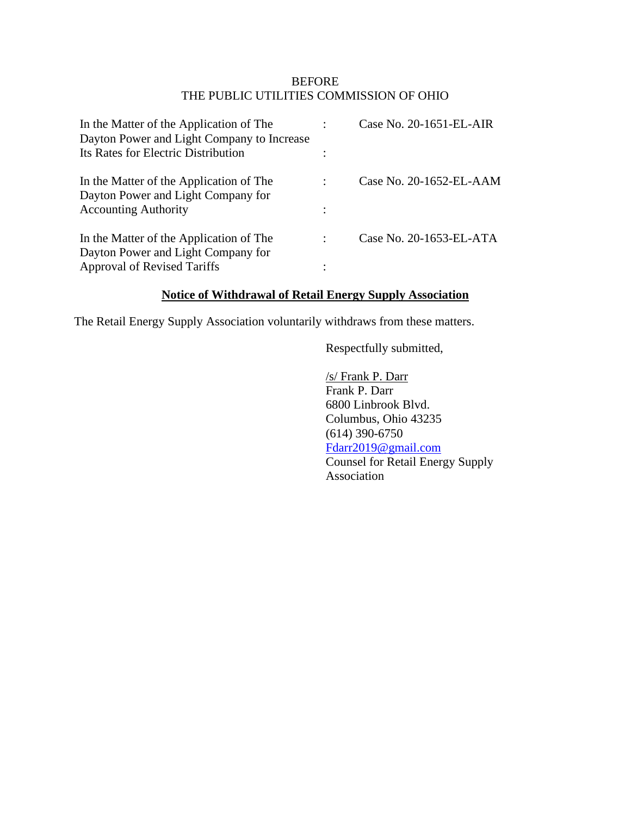#### BEFORE THE PUBLIC UTILITIES COMMISSION OF OHIO

| In the Matter of the Application of The<br>Dayton Power and Light Company to Increase |   | Case No. 20-1651-EL-AIR |
|---------------------------------------------------------------------------------------|---|-------------------------|
| Its Rates for Electric Distribution                                                   |   |                         |
| In the Matter of the Application of The<br>Dayton Power and Light Company for         |   | Case No. 20-1652-EL-AAM |
| <b>Accounting Authority</b>                                                           | ٠ |                         |
| In the Matter of the Application of The                                               | ٠ | Case No. 20-1653-EL-ATA |
| Dayton Power and Light Company for                                                    |   |                         |
| <b>Approval of Revised Tariffs</b>                                                    |   |                         |

### **Notice of Withdrawal of Retail Energy Supply Association**

The Retail Energy Supply Association voluntarily withdraws from these matters.

Respectfully submitted,

/s/ Frank P. Darr Frank P. Darr 6800 Linbrook Blvd. Columbus, Ohio 43235 (614) 390-6750 [Fdarr2019@gmail.com](mailto:Fdarr2019@gmail.com) Counsel for Retail Energy Supply Association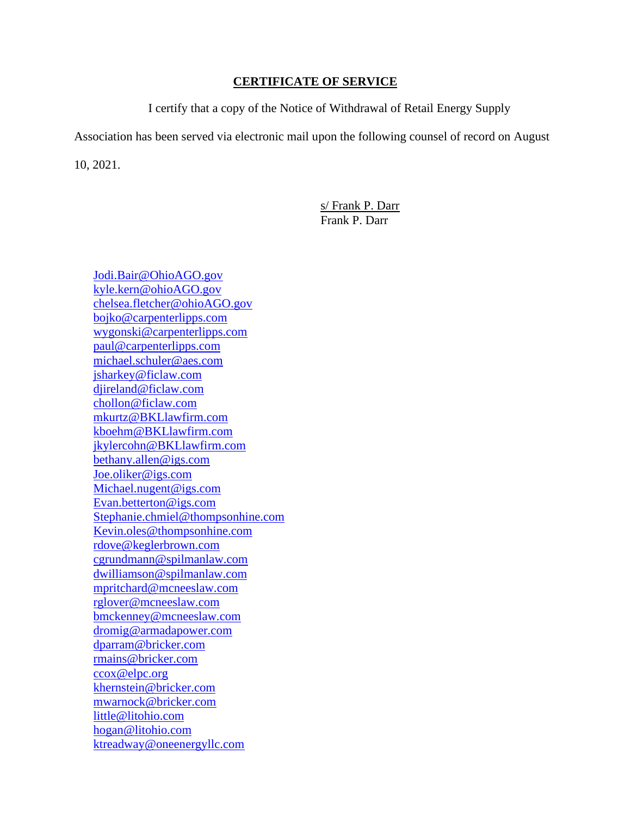#### **CERTIFICATE OF SERVICE**

I certify that a copy of the Notice of Withdrawal of Retail Energy Supply

Association has been served via electronic mail upon the following counsel of record on August

10, 2021.

s/ Frank P. Darr Frank P. Darr

[Jodi.Bair@OhioAGO.gov](mailto:Jodi.Bair@OhioAGO.gov) [kyle.kern@ohioAGO.gov](mailto:kyle.kern@ohioAGO.gov) [chelsea.fletcher@ohioAGO.gov](mailto:chelsea.fletcher@ohioAGO.gov) [bojko@carpenterlipps.com](mailto:bojko@carpenterlipps.com) [wygonski@carpenterlipps.com](mailto:wygonski@carpenterlipps.com) [paul@carpenterlipps.com](mailto:paul@carpenterlipps.com) [michael.schuler@aes.com](mailto:michael.schuler@aes.com) [jsharkey@ficlaw.com](mailto:jsharkey@ficlaw.com) [djireland@ficlaw.com](mailto:djireland@ficlaw.com) [chollon@ficlaw.com](mailto:chollon@ficlaw.com) [mkurtz@BKLlawfirm.com](mailto:mkurtz@BKLlawfirm.com) [kboehm@BKLlawfirm.com](mailto:kboehm@BKLlawfirm.com) [jkylercohn@BKLlawfirm.com](mailto:jkylercohn@BKLlawfirm.com) [bethany.allen@igs.com](mailto:bethany.allen@igs.com) [Joe.oliker@igs.com](mailto:Joe.oliker@igs.com) [Michael.nugent@igs.com](mailto:Michael.nugent@igs.com) [Evan.betterton@igs.com](mailto:Evan.betterton@igs.com) [Stephanie.chmiel@thompsonhine.com](mailto:Stephanie.chmiel@thompsonhine.com) [Kevin.oles@thompsonhine.com](mailto:Kevin.oles@thompsonhine.com) [rdove@keglerbrown.com](mailto:rdove@keglerbrown.com) [cgrundmann@spilmanlaw.com](mailto:cgrundmann@spilmanlaw.com) [dwilliamson@spilmanlaw.com](mailto:dwilliamson@spilmanlaw.com) [mpritchard@mcneeslaw.com](mailto:mpritchard@mcneeslaw.com) [rglover@mcneeslaw.com](mailto:rglover@mcneeslaw.com) [bmckenney@mcneeslaw.com](mailto:bmckenney@mcneeslaw.com) [dromig@armadapower.com](mailto:dromig@armadapower.com) [dparram@bricker.com](mailto:dparram@bricker.com) [rmains@bricker.com](mailto:rmains@bricker.com) [ccox@elpc.org](mailto:ccox@elpc.org) [khernstein@bricker.com](mailto:khernstein@bricker.com) [mwarnock@bricker.com](mailto:mwarnock@bricker.com) [little@litohio.com](mailto:little@litohio.com) [hogan@litohio.com](mailto:hogan@litohio.com) [ktreadway@oneenergyllc.com](mailto:ktreadway@oneenergyllc.com)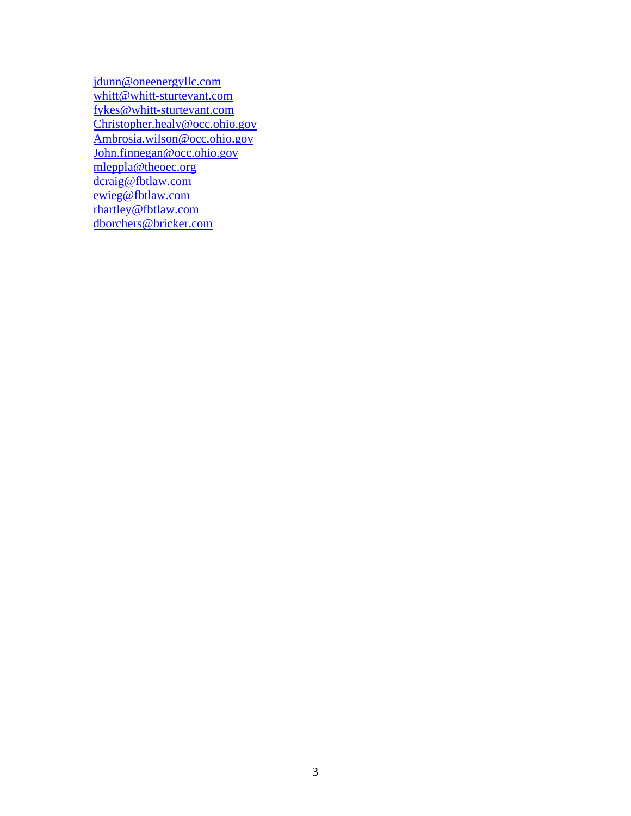[jdunn@oneenergyllc.com](mailto:jdunn@oneenergyllc.com) [whitt@whitt-sturtevant.com](mailto:whitt@whitt-sturtevant.com) [fykes@whitt-sturtevant.com](mailto:fykes@whitt-sturtevant.com) [Christopher.healy@occ.ohio.gov](mailto:Christopher.healy@occ.ohio.gov) [Ambrosia.wilson@occ.ohio.gov](mailto:Ambrosia.wilson@occ.ohio.gov) [John.finnegan@occ.ohio.gov](mailto:John.finnegan@occ.ohio.gov) [mleppla@theoec.org](mailto:mleppla@theoec.org) [dcraig@fbtlaw.com](mailto:dcraig@fbtlaw.com) [ewieg@fbtlaw.com](mailto:ewieg@fbtlaw.com) [rhartley@fbtlaw.com](mailto:rhartley@fbtlaw.com) [dborchers@bricker.com](mailto:dborchers@bricker.com)